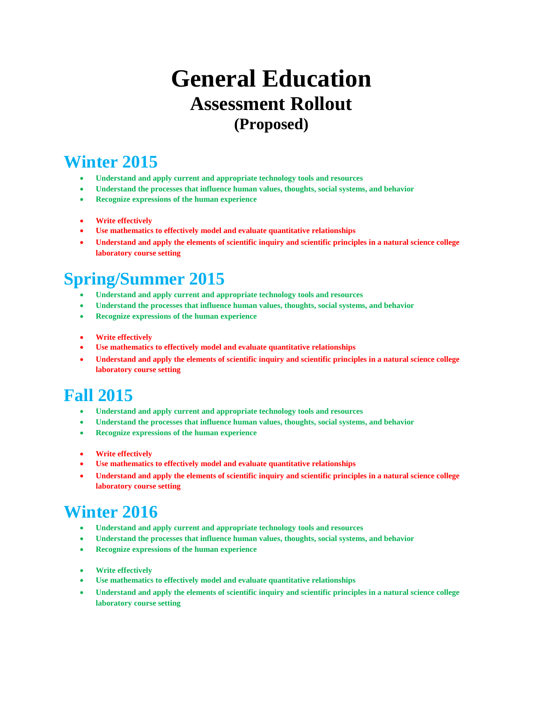# **General Education Assessment Rollout (Proposed)**

### **Winter 2015**

- **Understand and apply current and appropriate technology tools and resources**
- **Understand the processes that influence human values, thoughts, social systems, and behavior**
- **Recognize expressions of the human experience**
- **Write effectively**
- **Use mathematics to effectively model and evaluate quantitative relationships**
- **Understand and apply the elements of scientific inquiry and scientific principles in a natural science college laboratory course setting**

# **Spring/Summer 2015**

- **Understand and apply current and appropriate technology tools and resources**
- **Understand the processes that influence human values, thoughts, social systems, and behavior**
- **Recognize expressions of the human experience**
- **Write effectively**
- **Use mathematics to effectively model and evaluate quantitative relationships**
- **Understand and apply the elements of scientific inquiry and scientific principles in a natural science college laboratory course setting**

# **Fall 2015**

- **Understand and apply current and appropriate technology tools and resources**
- **Understand the processes that influence human values, thoughts, social systems, and behavior**
- **Recognize expressions of the human experience**
- **Write effectively**
- **Use mathematics to effectively model and evaluate quantitative relationships**
- **Understand and apply the elements of scientific inquiry and scientific principles in a natural science college laboratory course setting**

# **Winter 2016**

- **Understand and apply current and appropriate technology tools and resources**
- **Understand the processes that influence human values, thoughts, social systems, and behavior**
- **Recognize expressions of the human experience**
- **Write effectively**
- **Use mathematics to effectively model and evaluate quantitative relationships**
- **Understand and apply the elements of scientific inquiry and scientific principles in a natural science college laboratory course setting**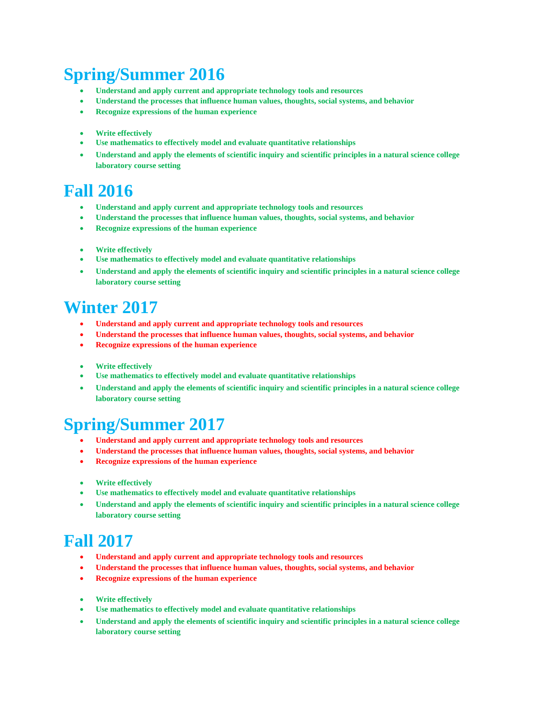# **Spring/Summer 2016**

- **Understand and apply current and appropriate technology tools and resources**
- **Understand the processes that influence human values, thoughts, social systems, and behavior**
- **Recognize expressions of the human experience**
- **Write effectively**
- **Use mathematics to effectively model and evaluate quantitative relationships**
- **Understand and apply the elements of scientific inquiry and scientific principles in a natural science college laboratory course setting**

### **Fall 2016**

- **Understand and apply current and appropriate technology tools and resources**
- **Understand the processes that influence human values, thoughts, social systems, and behavior**
- **Recognize expressions of the human experience**
- **Write effectively**
- **Use mathematics to effectively model and evaluate quantitative relationships**
- **Understand and apply the elements of scientific inquiry and scientific principles in a natural science college laboratory course setting**

### **Winter 2017**

- **Understand and apply current and appropriate technology tools and resources**
- **Understand the processes that influence human values, thoughts, social systems, and behavior**
- **Recognize expressions of the human experience**
- **Write effectively**
- **Use mathematics to effectively model and evaluate quantitative relationships**
- **Understand and apply the elements of scientific inquiry and scientific principles in a natural science college laboratory course setting**

# **Spring/Summer 2017**

- **Understand and apply current and appropriate technology tools and resources**
- **Understand the processes that influence human values, thoughts, social systems, and behavior**
- **Recognize expressions of the human experience**
- **Write effectively**
- **Use mathematics to effectively model and evaluate quantitative relationships**
- **Understand and apply the elements of scientific inquiry and scientific principles in a natural science college laboratory course setting**

### **Fall 2017**

- **Understand and apply current and appropriate technology tools and resources**
- **Understand the processes that influence human values, thoughts, social systems, and behavior**
- **Recognize expressions of the human experience**
- **Write effectively**
- **Use mathematics to effectively model and evaluate quantitative relationships**
- **Understand and apply the elements of scientific inquiry and scientific principles in a natural science college laboratory course setting**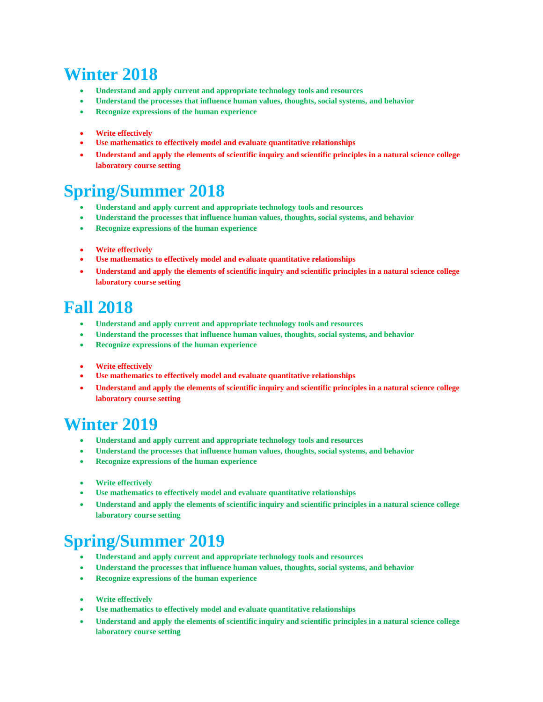# **Winter 2018**

- **Understand and apply current and appropriate technology tools and resources**
- **Understand the processes that influence human values, thoughts, social systems, and behavior**
- **Recognize expressions of the human experience**
- **Write effectively**
- **Use mathematics to effectively model and evaluate quantitative relationships**
- **Understand and apply the elements of scientific inquiry and scientific principles in a natural science college laboratory course setting**

# **Spring/Summer 2018**

- **Understand and apply current and appropriate technology tools and resources**
- **Understand the processes that influence human values, thoughts, social systems, and behavior**
- **Recognize expressions of the human experience**
- **Write effectively**
- **Use mathematics to effectively model and evaluate quantitative relationships**
- **Understand and apply the elements of scientific inquiry and scientific principles in a natural science college laboratory course setting**

### **Fall 2018**

- **Understand and apply current and appropriate technology tools and resources**
- **Understand the processes that influence human values, thoughts, social systems, and behavior**
- **Recognize expressions of the human experience**
- **Write effectively**
- **Use mathematics to effectively model and evaluate quantitative relationships**
- **Understand and apply the elements of scientific inquiry and scientific principles in a natural science college laboratory course setting**

### **Winter 2019**

- **Understand and apply current and appropriate technology tools and resources**
- **Understand the processes that influence human values, thoughts, social systems, and behavior**
- **Recognize expressions of the human experience**
- **Write effectively**
- **Use mathematics to effectively model and evaluate quantitative relationships**
- **Understand and apply the elements of scientific inquiry and scientific principles in a natural science college laboratory course setting**

# **Spring/Summer 2019**

- **Understand and apply current and appropriate technology tools and resources**
- **Understand the processes that influence human values, thoughts, social systems, and behavior**
- **Recognize expressions of the human experience**
- **Write effectively**
- **Use mathematics to effectively model and evaluate quantitative relationships**
- **Understand and apply the elements of scientific inquiry and scientific principles in a natural science college laboratory course setting**